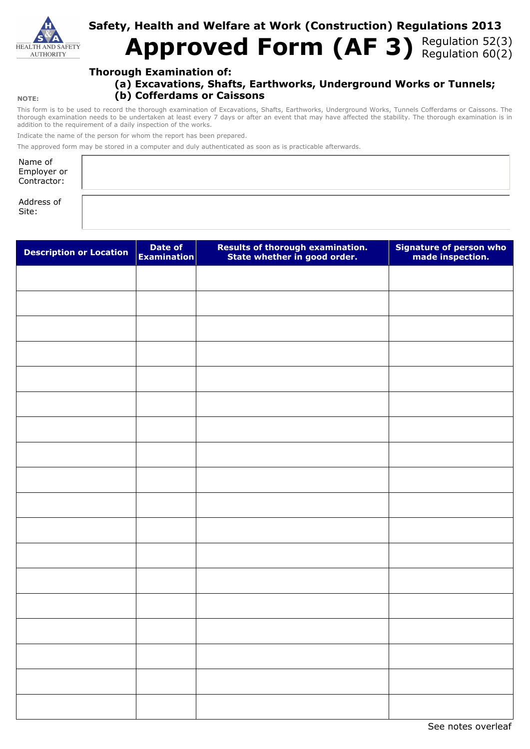

# **Safety, Health and Welfare at Work (Construction) Regulations 2013** Approved Form (AF 3) Regulation 52(3)

## **Thorough Examination of:**

**(a) Excavations, Shafts, Earthworks, Underground Works or Tunnels; (b) Cofferdams or Caissons** 

This form is to be used to record the thorough examination of Excavations, Shafts, Earthworks, Underground Works, Tunnels Cofferdams or Caissons. The thorough examination needs to be undertaken at least every 7 days or after an event that may have affected the stability. The thorough examination is in addition to the requirement of a daily inspection of the works.

Indicate the name of the person for whom the report has been prepared.

The approved form may be stored in a computer and duly authenticated as soon as is practicable afterwards.

| Name of<br>Employer or<br>Contractor: |  |
|---------------------------------------|--|
| Address of                            |  |

Site:

| <b>Description or Location</b> | Date of<br><b>Examination</b> | Results of thorough examination.<br>State whether in good order. | Signature of person who<br>made inspection. |
|--------------------------------|-------------------------------|------------------------------------------------------------------|---------------------------------------------|
|                                |                               |                                                                  |                                             |
|                                |                               |                                                                  |                                             |
|                                |                               |                                                                  |                                             |
|                                |                               |                                                                  |                                             |
|                                |                               |                                                                  |                                             |
|                                |                               |                                                                  |                                             |
|                                |                               |                                                                  |                                             |
|                                |                               |                                                                  |                                             |
|                                |                               |                                                                  |                                             |
|                                |                               |                                                                  |                                             |
|                                |                               |                                                                  |                                             |
|                                |                               |                                                                  |                                             |
|                                |                               |                                                                  |                                             |
|                                |                               |                                                                  |                                             |
|                                |                               |                                                                  |                                             |
|                                |                               |                                                                  |                                             |
|                                |                               |                                                                  |                                             |
|                                |                               |                                                                  |                                             |

See notes overleaf